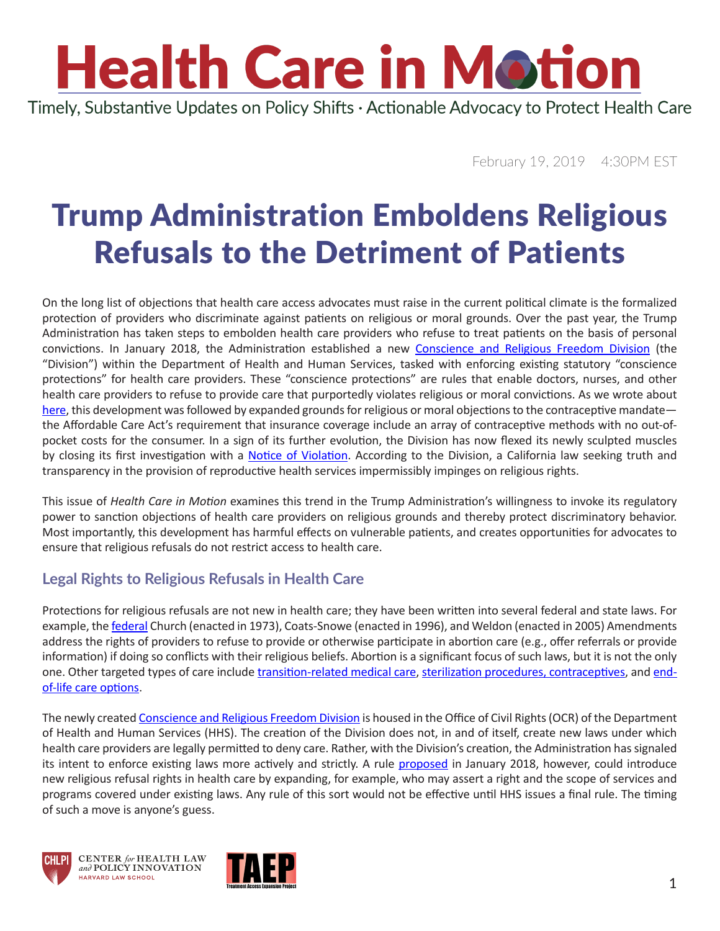# **Health Care in Motion**

Timely, Substantive Updates on Policy Shifts · Actionable Advocacy to Protect Health Care

February 19, 2019 4:30PM EST

### Trump Administration Emboldens Religious Refusals to the Detriment of Patients

On the long list of objections that health care access advocates must raise in the current political climate is the formalized protection of providers who discriminate against patients on religious or moral grounds. Over the past year, the Trump Administration has taken steps to embolden health care providers who refuse to treat patients on the basis of personal convictions. In January 2018, the Administration established a new [Conscience and Religious Freedom Division](https://www.hhs.gov/about/news/2018/01/18/hhs-ocr-announces-new-conscience-and-religious-freedom-division.html) (the "Division") within the Department of Health and Human Services, tasked with enforcing existing statutory "conscience protections" for health care providers. These "conscience protections" are rules that enable doctors, nurses, and other health care providers to refuse to provide care that purportedly violates religious or moral convictions. As we wrote about [here](https://www.chlpi.org/wp-content/uploads/2013/12/HCIM_1_18_2019.pdf), this development was followed by expanded grounds for religious or moral objections to the contraceptive mandate the Affordable Care Act's requirement that insurance coverage include an array of contraceptive methods with no out-ofpocket costs for the consumer. In a sign of its further evolution, the Division has now flexed its newly sculpted muscles by closing its first investigation with a [Notice of Violation.](https://www.hhs.gov/about/news/2019/01/18/ocr-finds-state-california-violated-federal-law-discriminating-against-pregnancy-resource-centers.html) According to the Division, a California law seeking truth and transparency in the provision of reproductive health services impermissibly impinges on religious rights.

This issue of *Health Care in Motion* examines this trend in the Trump Administration's willingness to invoke its regulatory power to sanction objections of health care providers on religious grounds and thereby protect discriminatory behavior. Most importantly, this development has harmful effects on vulnerable patients, and creates opportunities for advocates to ensure that religious refusals do not restrict access to health care.

#### **Legal Rights to Religious Refusals in Health Care**

Protections for religious refusals are not new in health care; they have been written into several federal and state laws. For example, the **federal** Church (enacted in 1973), Coats-Snowe (enacted in 1996), and Weldon (enacted in 2005) Amendments address the rights of providers to refuse to provide or otherwise participate in abortion care (e.g., offer referrals or provide information) if doing so conflicts with their religious beliefs. Abortion is a significant focus of such laws, but it is not the only one. Other targeted types of care include [transition-related medical care,](https://www.vice.com/en_us/article/j5vwgg/doctors-refuse-to-treat-trans-patients-more-often-than-you-think) [sterilization procedures, contraceptives,](https://www.guttmacher.org/state-policy/explore/refusing-provide-health-services) and [end](https://thehill.com/opinion/healthcare/379374-whose-health-care-preferences-should-be-honored-the-governments-the)[of-life care options](https://thehill.com/opinion/healthcare/379374-whose-health-care-preferences-should-be-honored-the-governments-the).

The newly created [Conscience and Religious Freedom Division](https://www.hhs.gov/about/news/2018/01/18/hhs-ocr-announces-new-conscience-and-religious-freedom-division.html) is housed in the Office of Civil Rights (OCR) of the Department of Health and Human Services (HHS). The creation of the Division does not, in and of itself, create new laws under which health care providers are legally permitted to deny care. Rather, with the Division's creation, the Administration has signaled its intent to enforce existing laws more actively and strictly. A rule [proposed](https://s3.amazonaws.com/public-inspection.federalregister.gov/2018-01226.pdf) in January 2018, however, could introduce new religious refusal rights in health care by expanding, for example, who may assert a right and the scope of services and programs covered under existing laws. Any rule of this sort would not be effective until HHS issues a final rule. The timing of such a move is anyone's guess.





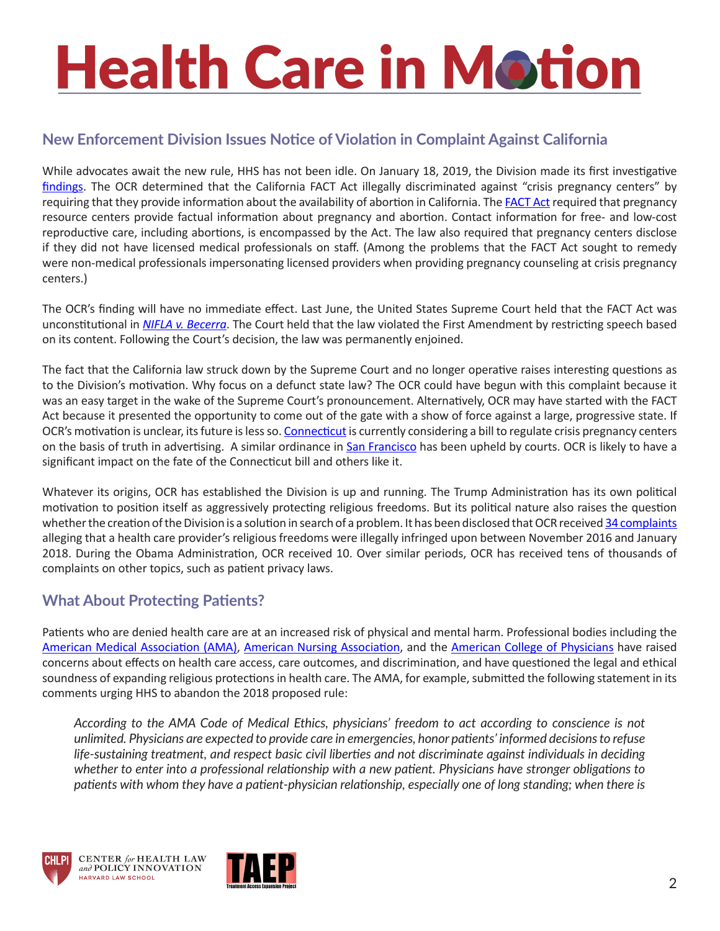## **Health Care in Motion**

#### **New Enforcement Division Issues Notice of Violation in Complaint Against California**

While advocates await the new rule, HHS has not been idle. On January 18, 2019, the Division made its first investigative [findings.](https://www.hhs.gov/about/news/2019/01/18/ocr-finds-state-california-violated-federal-law-discriminating-against-pregnancy-resource-centers.html) The OCR determined that the California FACT Act illegally discriminated against "crisis pregnancy centers" by requiring that they provide information about the availability of abortion in California. The [FACT Act](www.healthcaredive.com:news:hhs-charges-california-violated-pregnancy-resource-centers-rights:546499:) required that pregnancy resource centers provide factual information about pregnancy and abortion. Contact information for free- and low-cost reproductive care, including abortions, is encompassed by the Act. The law also required that pregnancy centers disclose if they did not have licensed medical professionals on staff. (Among the problems that the FACT Act sought to remedy were non-medical professionals impersonating licensed providers when providing pregnancy counseling at crisis pregnancy centers.)

The OCR's finding will have no immediate effect. Last June, the United States Supreme Court held that the FACT Act was unconstitutional in *[NIFLA v. Becerra](https://www.supremecourt.gov/opinions/17pdf/16-1140_5368.pdf)*. The Court held that the law violated the First Amendment by restricting speech based on its content. Following the Court's decision, the law was permanently enjoined.

The fact that the California law struck down by the Supreme Court and no longer operative raises interesting questions as to the Division's motivation. Why focus on a defunct state law? The OCR could have begun with this complaint because it was an easy target in the wake of the Supreme Court's pronouncement. Alternatively, OCR may have started with the FACT Act because it presented the opportunity to come out of the gate with a show of force against a large, progressive state. If OCR's motivation is unclear, its future is less so. [Connecticut](https://www.ctnewsjunkie.com/archives/entry/20190211_pregnancy_center_legislation_sees_supporters_and_opponents/) is currently considering a bill to regulate crisis pregnancy centers on the basis of truth in advertising. A similar ordinance in [San Francisco](https://www.sfcityattorney.org/2018/06/28/u-s-supreme-court-denies-review-sf-crisis-pregnancy-law-ordinance-stands/) has been upheld by courts. OCR is likely to have a significant impact on the fate of the Connecticut bill and others like it.

Whatever its origins, OCR has established the Division is up and running. The Trump Administration has its own political motivation to position itself as aggressively protecting religious freedoms. But its political nature also raises the question whether the creation of the Division is a solution in search of a problem. It has been disclosed that OCR received [34 complaints](https://s3.amazonaws.com/public-inspection.federalregister.gov/2018-01226.pdf)  alleging that a health care provider's religious freedoms were illegally infringed upon between November 2016 and January 2018. During the Obama Administration, OCR received 10. Over similar periods, OCR has received tens of thousands of complaints on other topics, such as patient privacy laws.

#### **What About Protecting Patients?**

Patients who are denied health care are at an increased risk of physical and mental harm. Professional bodies including the [American Medical Association \(AMA\),](https://searchlf.ama-assn.org/undefined/documentDownload?uri=%2Funstructured%2Fbinary%2Fletter%2FLETTERS%2F2018-3-27-Letter-to-Azar-re-Response-to-Proposed-Rule.pdf) [American Nursing Association](https://www.nursingcenter.com/journalarticle?Article_ID=4677783&Journal_ID=54030&Issue_ID=4677730), and the [American College of Physicians](https://www.acponline.org/acp-newsroom/internists-concerned-conscience-protection-rules-will-threaten-access-to-preventive-health-services) have raised concerns about effects on health care access, care outcomes, and discrimination, and have questioned the legal and ethical soundness of expanding religious protections in health care. The AMA, for example, submitted the following statement in its comments urging HHS to abandon the 2018 proposed rule:

*According to the AMA Code of Medical Ethics, physicians' freedom to act according to conscience is not unlimited. Physicians are expected to provide care in emergencies, honor patients' informed decisions to refuse life-sustaining treatment, and respect basic civil liberties and not discriminate against individuals in deciding whether to enter into a professional relationship with a new patient. Physicians have stronger obligations to patients with whom they have a patient-physician relationship, especially one of long standing; when there is*